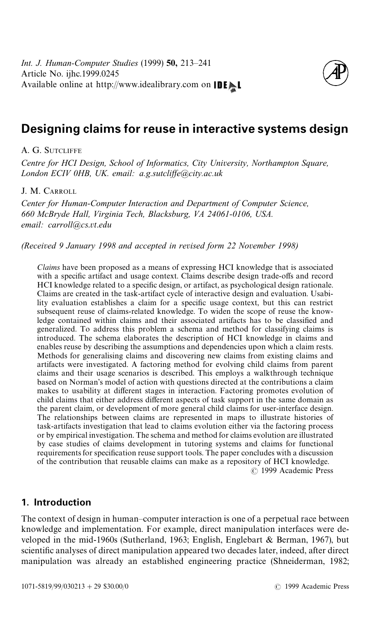

# **Designing claims for reuse in interactive systems design**

# A. G. SUTCLIFFE

*Centre for HCI Design, School of Informatics, City University, Northampton Square, London ECIV 0HB, UK. email: a.g.sutcliffe*@*city.ac.uk*

# J. M. CARROLL

*Center for Human-Computer Interaction and Department of Computer Science, 660 McBryde Hall, Virginia Tech, Blacksburg, VA 24061-0106, USA. email: carroll*@*cs*.*vt*.*edu*

*(Received 9 January 1998 and accepted in revised form 22 November 1998)*

*Claims* have been proposed as a means of expressing HCI knowledge that is associated with a specific artifact and usage context. Claims describe design trade-offs and record HCI knowledge related to a specific design, or artifact, as psychological design rationale. Claims are created in the task-artifact cycle of interactive design and evaluation. Usability evaluation establishes a claim for a specific usage context, but this can restrict subsequent reuse of claims-related knowledge. To widen the scope of reuse the knowledge contained within claims and their associated artifacts has to be classified and generalized. To address this problem a schema and method for classifying claims is introduced. The schema elaborates the description of HCI knowledge in claims and enables reuse by describing the assumptions and dependencies upon which a claim rests. Methods for generalising claims and discovering new claims from existing claims and artifacts were investigated. A factoring method for evolving child claims from parent claims and their usage scenarios is described. This employs a walkthrough technique based on Norman's model of action with questions directed at the contributions a claim makes to usability at different stages in interaction. Factoring promotes evolution of child claims that either address different aspects of task support in the same domain as the parent claim, or development of more general child claims for user-interface design. The relationships between claims are represented in maps to illustrate histories of task-artifacts investigation that lead to claims evolution either via the factoring process or by empirical investigation. The schema and method for claims evolution are illustrated by case studies of claims development in tutoring systems and claims for functional requirements for specification reuse support tools. The paper concludes with a discussion of the contribution that reusable claims can make as a repository of HCI knowledge. ( 1999 Academic Press

# **1. Introduction**

The context of design in human*—*computer interaction is one of a perpetual race between knowledge and implementation. For example, direct manipulation interfaces were developed in the mid-1960s [\(Sutherland, 1963;](#page-28-0) [English, Englebart & Berman, 1967\),](#page-26-0) but scientific analyses of direct manipulation appeared two decades later, indeed, after direct manipulation was already an established engineering practice [\(Shneiderman, 1982;](#page-27-0)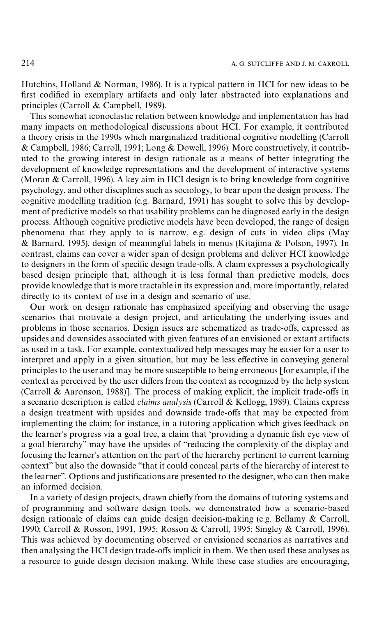[Hutchins, Holland & Norman, 1986\).](#page-26-0) It is a typical pattern in HCI for new ideas to be first codified in exemplary artifacts and only later abstracted into explanations and principles [\(Carroll & Campbell, 1989\).](#page-26-0)

This somewhat iconoclastic relation between knowledge and implementation has had many impacts on methodological discussions about HCI. For example, it contributed a theory crisis in the 1990s which marginalized traditional cognitive modelling [\(Carroll](#page-25-0) [& Campbell, 1986; Carroll, 1991;](#page-25-0) [Long & Dowell, 1996\).](#page-26-0) More constructively, it contributed to the growing interest in design rationale as a means of better integrating the development of knowledge representations and the development of interactive systems [\(Moran & Carroll, 1996\).](#page-27-0) A key aim in HCI design is to bring knowledge from cognitive psychology, and other disciplines such as sociology, to bear upon the design process. The cognitive modelling tradition (e.g[. Barnard, 1991\)](#page-25-0) has sought to solve this by development of predictive models so that usability problems can be diagnosed early in the design process. Although cognitive predictive models have been developed, the range of design phenomena that they apply to is narrow, e.g. design of cuts in video clips [\(May](#page-27-0) [& Barnard, 1995\),](#page-27-0) design of meaningful labels in menus [\(Kitajima & Polson, 1997\).](#page-26-0) In contrast, claims can cover a wider span of design problems and deliver HCI knowledge to designers in the form of specific design trade-offs. A claim expresses a psychologically based design principle that, although it is less formal than predictive models, does provide knowledge that is more tractable in its expression and, more importantly, related directly to its context of use in a design and scenario of use.

Our work on design rationale has emphasized specifying and observing the usage scenarios that motivate a design project, and articulating the underlying issues and problems in those scenarios. Design issues are schematized as trade-offs, expressed as upsides and downsides associated with given features of an envisioned or extant artifacts as used in a task. For example, contextualized help messages may be easier for a user to interpret and apply in a given situation, but may be less effective in conveying general principles to the user and may be more susceptible to being erroneous [for example, if the context as perceived by the user differs from the context as recognized by the help system [\(Carroll & Aaronson, 1988\)\].](#page-25-0) The process of making explicit, the implicit trade-offs in a scenario description is called *claims analysis* [\(Carroll & Kellogg, 1989\).](#page-25-0) Claims express a design treatment with upsides and downside trade-offs that may be expected from implementing the claim; for instance, in a tutoring application which gives feedback on the learner's progress via a goal tree, a claim that 'providing a dynamic fish eye view of a goal hierarchy'' may have the upsides of ''reducing the complexity of the display and focusing the learner's attention on the part of the hierarchy pertinent to current learning context'' but also the downside ''that it could conceal parts of the hierarchy of interest to the learner''. Options and justifications are presented to the designer, who can then make an informed decision.

In a variety of design projects, drawn chiefly from the domains of tutoring systems and of programming and software design tools, we demonstrated how a scenario-based design rationale of claims can guide design decision-making (e.g. [Bellamy & Carroll,](#page-25-0) [1990;](#page-25-0) [Carroll & Rosson, 1991, 1995;](#page-26-0) [Rosson & Carroll, 1995; Singley & Carroll, 1996\).](#page-27-0) This was achieved by documenting observed or envisioned scenarios as narratives and then analysing the HCI design trade-offs implicit in them. We then used these analyses as a resource to guide design decision making. While these case studies are encouraging,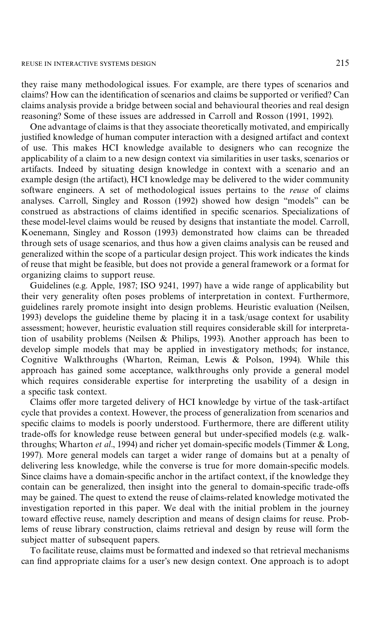they raise many methodological issues. For example, are there types of scenarios and claims? How can the identification of scenarios and claims be supported or verified? Can claims analysis provide a bridge between social and behavioural theories and real design reasoning? Some of these issues are addressed in [Carroll and Rosson \(1991, 1992\).](#page-26-0)

One advantage of claims is that they associate theoretically motivated, and empirically justified knowledge of human computer interaction with a designed artifact and context of use. This makes HCI knowledge available to designers who can recognize the applicability of a claim to a new design context via similarities in user tasks, scenarios or artifacts. Indeed by situating design knowledge in context with a scenario and an example design (the artifact), HCI knowledge may be delivered to the wider community software engineers. A set of methodological issues pertains to the *reuse* of claims analyses. [Carroll, Singley and Rosson \(1992\)](#page-26-0) showed how design ''models'' can be construed as abstractions of claims identified in specific scenarios. Specializations of these model-level claims would be reused by designs that instantiate the model. [Carroll,](#page-26-0) [Koenemann, Singley and Rosson \(1993\)](#page-26-0) demonstrated how claims can be threaded through sets of usage scenarios, and thus how a given claims analysis can be reused and generalized within the scope of a particular design project. This work indicates the kinds of reuse that might be feasible, but does not provide a general framework or a format for organizing claims to support reuse.

Guidelines (e.g. [Apple, 1987](#page-25-0); [ISO 9241, 1997\) h](#page-26-0)ave a wide range of applicability but their very generality often poses problems of interpretation in context. Furthermore, guidelines rarely promote insight into design problems. Heuristic evaluation [\(Neilsen,](#page-27-0) [1993\)](#page-27-0) develops the guideline theme by placing it in a task/usage context for usability assessment; however, heuristic evaluation still requires considerable skill for interpretation of usability problems [\(Neilsen & Philips, 1993\).](#page-27-0) Another approach has been to develop simple models that may be applied in investigatory methods; for instance, Cognitive Walkthroughs [\(Wharton, Reiman, Lewis & Polson, 1994\).](#page-28-0) While this approach has gained some acceptance, walkthroughs only provide a general model which requires considerable expertise for interpreting the usability of a design in a specific task context.

Claims offer more targeted delivery of HCI knowledge by virtue of the task-artifact cycle that provides a context. However, the process of generalization from scenarios and specific claims to models is poorly understood. Furthermore, there are different utility trade-offs for knowledge reuse between general but under-specified models (e.g. walkthroughs; [Wharton](#page-28-0) *et al*., 1994) and richer yet domain-specific models [\(Timmer & Long,](#page-28-0) [1997\).](#page-28-0) More general models can target a wider range of domains but at a penalty of delivering less knowledge, while the converse is true for more domain-specific models. Since claims have a domain-specific anchor in the artifact context, if the knowledge they contain can be generalized, then insight into the general to domain-specific trade-offs may be gained. The quest to extend the reuse of claims-related knowledge motivated the investigation reported in this paper. We deal with the initial problem in the journey toward effective reuse, namely description and means of design claims for reuse. Problems of reuse library construction, claims retrieval and design by reuse will form the subject matter of subsequent papers.

To facilitate reuse, claims must be formatted and indexed so that retrieval mechanisms can find appropriate claims for a user's new design context. One approach is to adopt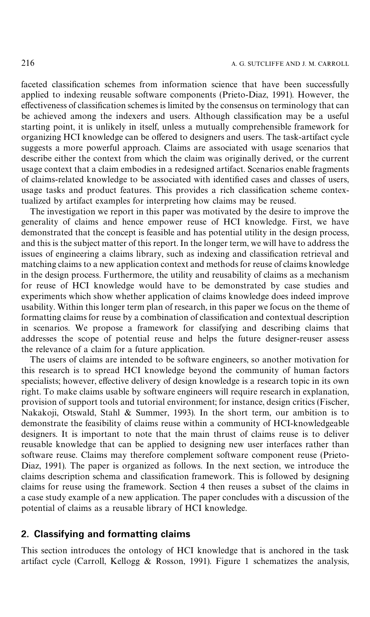faceted classification schemes from information science that have been successfully applied to indexing reusable software components [\(Prieto-Diaz, 1991\).](#page-27-0) However, the effectiveness of classification schemes is limited by the consensus on terminology that can be achieved among the indexers and users. Although classification may be a useful starting point, it is unlikely in itself, unless a mutually comprehensible framework for organizing HCI knowledge can be offered to designers and users. The task-artifact cycle suggests a more powerful approach. Claims are associated with usage scenarios that describe either the context from which the claim was originally derived, or the current usage context that a claim embodies in a redesigned artifact. Scenarios enable fragments of claims-related knowledge to be associated with identified cases and classes of users, usage tasks and product features. This provides a rich classification scheme contextualized by artifact examples for interpreting how claims may be reused.

The investigation we report in this paper was motivated by the desire to improve the generality of claims and hence empower reuse of HCI knowledge. First, we have demonstrated that the concept is feasible and has potential utility in the design process, and this is the subject matter of this report. In the longer term, we will have to address the issues of engineering a claims library, such as indexing and classification retrieval and matching claims to a new application context and methods for reuse of claims knowledge in the design process. Furthermore, the utility and reusability of claims as a mechanism for reuse of HCI knowledge would have to be demonstrated by case studies and experiments which show whether application of claims knowledge does indeed improve usability. Within this longer term plan of research, in this paper we focus on the theme of formatting claims for reuse by a combination of classification and contextual description in scenarios. We propose a framework for classifying and describing claims that addresses the scope of potential reuse and helps the future designer-reuser assess the relevance of a claim for a future application.

The users of claims are intended to be software engineers, so another motivation for this research is to spread HCI knowledge beyond the community of human factors specialists; however, effective delivery of design knowledge is a research topic in its own right. To make claims usable by software engineers will require research in explanation, provision of support tools and tutorial environment; for instance, design critics [\(Fischer,](#page-26-0) [Nakakoji, Otswald, Stahl & Summer, 1993\).](#page-26-0) In the short term, our ambition is to demonstrate the feasibility of claims reuse within a community of HCI-knowledgeable designers. It is important to note that the main thrust of claims reuse is to deliver reusable knowledge that can be applied to designing new user interfaces rather than software reuse. Claims may therefore complement software component reuse [\(Prieto-](#page-27-0)[Diaz, 1991\).](#page-27-0) The paper is organized as follows. In the next section, we introduce the claims description schema and classification framework. This is followed by designing claims for reuse using the framework. [Section 4](#page-15-0) then reuses a subset of the claims in a case study example of a new application. The paper concludes with a discussion of the potential of claims as a reusable library of HCI knowledge.

# **2. Classifying and formatting claims**

This section introduces the ontology of HCI knowledge that is anchored in the task artifact cycle [\(Carroll, Kellogg & Rosson, 1991\).](#page-26-0) [Figure 1](#page-4-0) schematizes the analysis,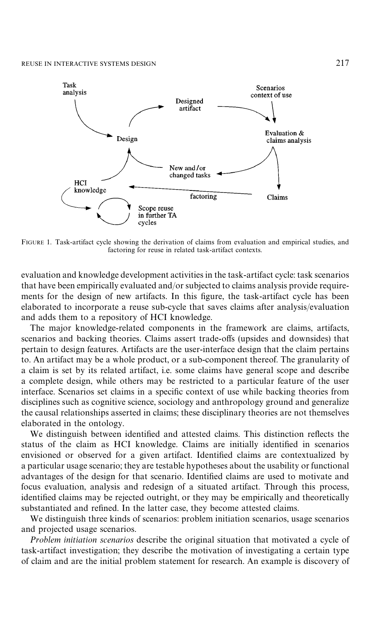<span id="page-4-0"></span>

FIGURE 1. Task-artifact cycle showing the derivation of claims from evaluation and empirical studies, and factoring for reuse in related task-artifact contexts.

evaluation and knowledge development activities in the task-artifact cycle: task scenarios that have been empirically evaluated and/or subjected to claims analysis provide requirements for the design of new artifacts. In this figure, the task-artifact cycle has been elaborated to incorporate a reuse sub-cycle that saves claims after analysis/evaluation and adds them to a repository of HCI knowledge.

The major knowledge-related components in the framework are claims, artifacts, scenarios and backing theories. Claims assert trade-offs (upsides and downsides) that pertain to design features. Artifacts are the user-interface design that the claim pertains to. An artifact may be a whole product, or a sub-component thereof. The granularity of a claim is set by its related artifact, i.e. some claims have general scope and describe a complete design, while others may be restricted to a particular feature of the user interface. Scenarios set claims in a specific context of use while backing theories from disciplines such as cognitive science, sociology and anthropology ground and generalize the causal relationships asserted in claims; these disciplinary theories are not themselves elaborated in the ontology.

We distinguish between identified and attested claims. This distinction reflects the status of the claim as HCI knowledge. Claims are initially identified in scenarios envisioned or observed for a given artifact. Identified claims are contextualized by a particular usage scenario; they are testable hypotheses about the usability or functional advantages of the design for that scenario. Identified claims are used to motivate and focus evaluation, analysis and redesign of a situated artifact. Through this process, identified claims may be rejected outright, or they may be empirically and theoretically substantiated and refined. In the latter case, they become attested claims.

We distinguish three kinds of scenarios: problem initiation scenarios, usage scenarios and projected usage scenarios.

*Problem initiation scenarios* describe the original situation that motivated a cycle of task-artifact investigation; they describe the motivation of investigating a certain type of claim and are the initial problem statement for research. An example is discovery of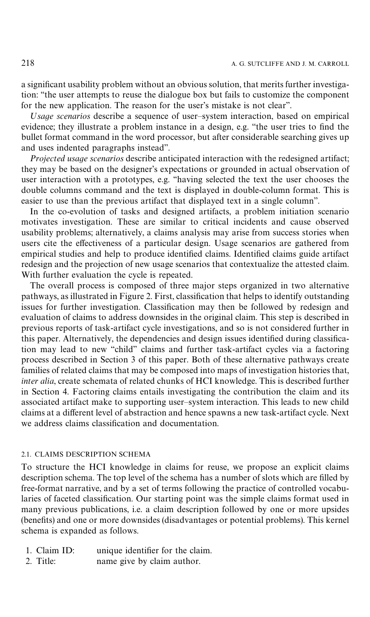a significant usability problem without an obvious solution, that merits further investigation: ''the user attempts to reuse the dialogue box but fails to customize the component for the new application. The reason for the user's mistake is not clear''.

º*sage scenarios* describe a sequence of user*—*system interaction, based on empirical evidence; they illustrate a problem instance in a design, e.g. ''the user tries to find the bullet format command in the word processor, but after considerable searching gives up and uses indented paragraphs instead''.

*Projected usage scenarios* describe anticipated interaction with the redesigned artifact; they may be based on the designer's expectations or grounded in actual observation of user interaction with a prototypes, e.g. ''having selected the text the user chooses the double columns command and the text is displayed in double-column format. This is easier to use than the previous artifact that displayed text in a single column''.

In the co-evolution of tasks and designed artifacts, a problem initiation scenario motivates investigation. These are similar to critical incidents and cause observed usability problems; alternatively, a claims analysis may arise from success stories when users cite the effectiveness of a particular design. Usage scenarios are gathered from empirical studies and help to produce identified claims. Identified claims guide artifact redesign and the projection of new usage scenarios that contextualize the attested claim. With further evaluation the cycle is repeated.

The overall process is composed of three major steps organized in two alternative pathways, as illustrated in [Figure 2.](#page-6-0) First, classification that helps to identify outstanding issues for further investigation. Classification may then be followed by redesign and evaluation of claims to address downsides in the original claim. This step is described in previous reports of task-artifact cycle investigations, and so is not considered further in this paper. Alternatively, the dependencies and design issues identified during classification may lead to new ''child'' claims and further task-artifact cycles via a factoring process described in [Section 3](#page-11-0) of this paper. Both of these alternative pathways create families of related claims that may be composed into maps of investigation histories that, *inter alia*, create schemata of related chunks of HCI knowledge. This is described further in [Section 4.](#page-15-0) Factoring claims entails investigating the contribution the claim and its associated artifact make to supporting user*—*system interaction. This leads to new child claims at a different level of abstraction and hence spawns a new task-artifact cycle. Next we address claims classification and documentation.

### 2.1. CLAIMS DESCRIPTION SCHEMA

To structure the HCI knowledge in claims for reuse, we propose an explicit claims description schema. The top level of the schema has a number of slots which are filled by free-format narrative, and by a set of terms following the practice of controlled vocabularies of faceted classification. Our starting point was the simple claims format used in many previous publications, i.e. a claim description followed by one or more upsides (benefits) and one or more downsides (disadvantages or potential problems). This kernel schema is expanded as follows.

- 1. Claim ID: unique identifier for the claim.
- 2. Title: name give by claim author.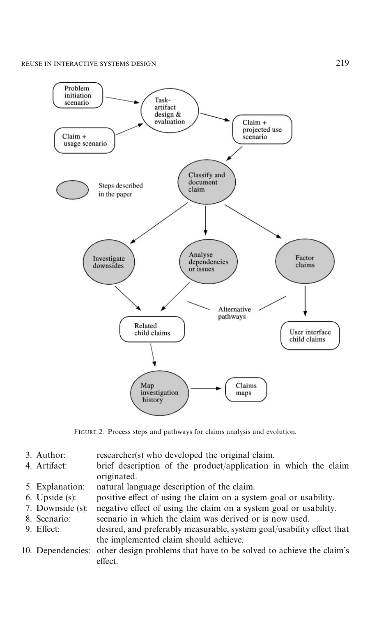<span id="page-6-0"></span>

FIGURE 2. Process steps and pathways for claims analysis and evolution.

- 3. Author: researcher(s) who developed the original claim.
- 4. Artifact: brief description of the product/application in which the claim originated.
- 5. Explanation: natural language description of the claim.
- 6. Upside (s): positive effect of using the claim on a system goal or usability.
- 7. Downside (s): negative effect of using the claim on a system goal or usability.
- 8. Scenario: scenario in which the claim was derived or is now used.
- 9. Effect: desired, and preferably measurable, system goal/usability effect that the implemented claim should achieve.
- 10. Dependencies: other design problems that have to be solved to achieve the claim's effect.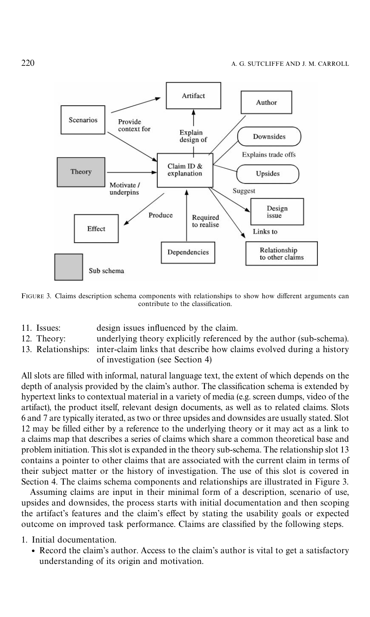

FIGURE 3. Claims description schema components with relationships to show how different arguments can contribute to the classification.

- 11. Issues: design issues influenced by the claim.
- 12. Theory: underlying theory explicitly referenced by the author (sub-schema). 13. Relationships: inter-claim links that describe how claims evolved during a history of investigation (see [Section 4\)](#page-15-0)

All slots are filled with informal, natural language text, the extent of which depends on the depth of analysis provided by the claim's author. The classification schema is extended by hypertext links to contextual material in a variety of media (e.g. screen dumps, video of the artifact), the product itself, relevant design documents, as well as to related claims. Slots 6 and 7 are typically iterated, as two or three upsides and downsides are usually stated. Slot 12 may be filled either by a reference to the underlying theory or it may act as a link to a claims map that describes a series of claims which share a common theoretical base and problem initiation. This slot is expanded in the theory sub-schema. The relationship slot 13 contains a pointer to other claims that are associated with the current claim in terms of their subject matter or the history of investigation. The use of this slot is covered in [Section 4.](#page-15-0) The claims schema components and relationships are illustrated in Figure 3.

Assuming claims are input in their minimal form of a description, scenario of use, upsides and downsides, the process starts with initial documentation and then scoping the artifact's features and the claim's effect by stating the usability goals or expected outcome on improved task performance. Claims are classified by the following steps.

1. Initial documentation.

• Record the claim's author. Access to the claim's author is vital to get a satisfactory understanding of its origin and motivation.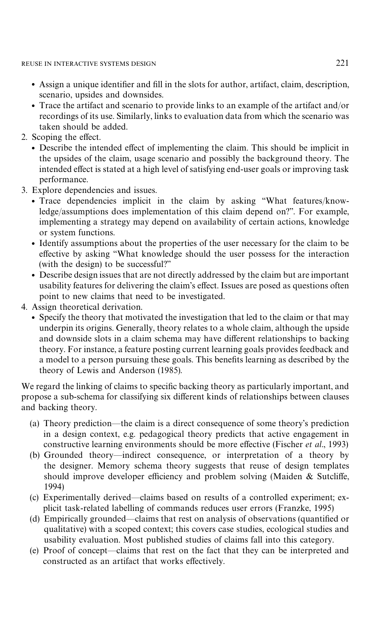- <sup>f</sup> Assign a unique identifier and fill in the slots for author, artifact, claim, description, scenario, upsides and downsides.
- Trace the artifact and scenario to provide links to an example of the artifact and/or recordings of its use. Similarly, links to evaluation data from which the scenario was taken should be added.
- 2. Scoping the effect.
	- Describe the intended effect of implementing the claim. This should be implicit in the upsides of the claim, usage scenario and possibly the background theory. The intended effect is stated at a high level of satisfying end-user goals or improving task performance.
- 3. Explore dependencies and issues.
	- Trace dependencies implicit in the claim by asking "What features/knowledge/assumptions does implementation of this claim depend on?''. For example, implementing a strategy may depend on availability of certain actions, knowledge or system functions.
	- Identify assumptions about the properties of the user necessary for the claim to be effective by asking ''What knowledge should the user possess for the interaction (with the design) to be successful?''
	- Describe design issues that are not directly addressed by the claim but are important usability features for delivering the claim's effect. Issues are posed as questions often point to new claims that need to be investigated.
- 4. Assign theoretical derivation.
	- Specify the theory that motivated the investigation that led to the claim or that may underpin its origins. Generally, theory relates to a whole claim, although the upside and downside slots in a claim schema may have different relationships to backing theory. For instance, a feature posting current learning goals provides feedback and a model to a person pursuing these goals. This benefits learning as described by the theory of [Lewis and Anderson \(1985\).](#page-26-0)

We regard the linking of claims to specific backing theory as particularly important, and propose a sub-schema for classifying six different kinds of relationships between clauses and backing theory.

- (a) Theory prediction—the claim is a direct consequence of some theory's prediction in a design context, e.g. pedagogical theory predicts that active engagement in constructive learning environments should be more effective [\(Fischer](#page-26-0) *et al*., 1993)
- (b) Grounded theory—indirect consequence, or interpretation of a theory by the designer. Memory schema theory suggests that reuse of design templates should improve developer efficiency and problem solving [\(Maiden & Sutcliffe,](#page-27-0) [1994\)](#page-27-0)
- (c) Experimentally derived—claims based on results of a controlled experiment; explicit task-related labelling of commands reduces user errors [\(Franzke, 1995\)](#page-26-0)
- (d) Empirically grounded—claims that rest on analysis of observations (quantified or qualitative) with a scoped context; this covers case studies, ecological studies and usability evaluation. Most published studies of claims fall into this category.
- (e) Proof of concept—claims that rest on the fact that they can be interpreted and constructed as an artifact that works effectively.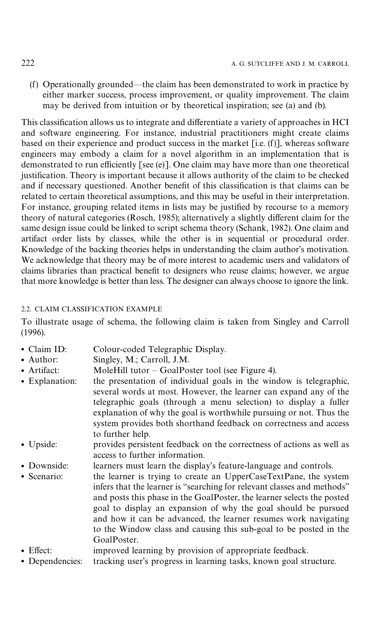(f) Operationally grounded—the claim has been demonstrated to work in practice by either marker success, process improvement, or quality improvement. The claim may be derived from intuition or by theoretical inspiration; see (a) and (b).

This classification allows us to integrate and differentiate a variety of approaches in HCI and software engineering. For instance, industrial practitioners might create claims based on their experience and product success in the market  $[i.e. (f)]$ , whereas software engineers may embody a claim for a novel algorithm in an implementation that is demonstrated to run efficiently [see (e)]. One claim may have more than one theoretical justification. Theory is important because it allows authority of the claim to be checked and if necessary questioned. Another benefit of this classification is that claims can be related to certain theoretical assumptions, and this may be useful in their interpretation. For instance, grouping related items in lists may be justified by recourse to a memory theory of natural categories [\(Rosch, 1985\);](#page-27-0) alternatively a slightly different claim for the same design issue could be linked to script schema theory [\(Schank, 1982\)](#page-27-0). One claim and artifact order lists by classes, while the other is in sequential or procedural order. Knowledge of the backing theories helps in understanding the claim author's motivation. We acknowledge that theory may be of more interest to academic users and validators of claims libraries than practical benefit to designers who reuse claims; however, we argue that more knowledge is better than less. The designer can always choose to ignore the link.

### 2.2. CLAIM CLASSIFICATION EXAMPLE

To illustrate usage of schema, the following claim is taken from [Singley and Carroll](#page-27-0) [\(1996\).](#page-27-0)

- Claim ID: Colour-coded Telegraphic Display.
- Author: Singley, M.; Carroll, J.M.
- Artifact: MoleHill tutor GoalPoster tool (see [Figure 4\).](#page-10-0)
- Explanation: the presentation of individual goals in the window is telegraphic, several words at most. However, the learner can expand any of the telegraphic goals (through a menu selection) to display a fuller explanation of why the goal is worthwhile pursuing or not. Thus the system provides both shorthand feedback on correctness and access to further help.
- Upside: provides persistent feedback on the correctness of actions as well as access to further information.
- Downside: learners must learn the display's feature-language and controls.
- Scenario: the learner is trying to create an UpperCaseTextPane, the system infers that the learner is ''searching for relevant classes and methods'' and posts this phase in the GoalPoster, the learner selects the posted goal to display an expansion of why the goal should be pursued and how it can be advanced, the learner resumes work navigating to the Window class and causing this sub-goal to be posted in the GoalPoster.
- Effect: improved learning by provision of appropriate feedback.
- Dependencies: tracking user's progress in learning tasks, known goal structure.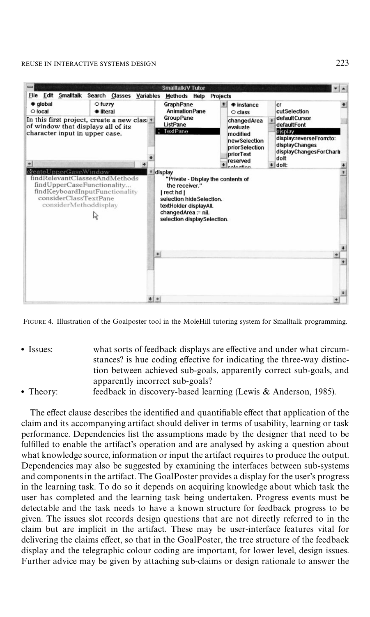### <span id="page-10-0"></span>REUSE IN INTERACTIVE SYSTEMS DESIGN 223



FIGURE 4. Illustration of the Goalposter tool in the MoleHill tutoring system for Smalltalk programming.

- Issues: what sorts of feedback displays are effective and under what circumstances? is hue coding effective for indicating the three-way distinction between achieved sub-goals, apparently correct sub-goals, and apparently incorrect sub-goals?
- Theory: feedback in discovery-based learning [\(Lewis & Anderson, 1985\).](#page-26-0)

The effect clause describes the identified and quantifiable effect that application of the claim and its accompanying artifact should deliver in terms of usability, learning or task performance. Dependencies list the assumptions made by the designer that need to be fulfilled to enable the artifact's operation and are analysed by asking a question about what knowledge source, information or input the artifact requires to produce the output. Dependencies may also be suggested by examining the interfaces between sub-systems and components in the artifact. The GoalPoster provides a display for the user's progress in the learning task. To do so it depends on acquiring knowledge about which task the user has completed and the learning task being undertaken. Progress events must be detectable and the task needs to have a known structure for feedback progress to be given. The issues slot records design questions that are not directly referred to in the claim but are implicit in the artifact. These may be user-interface features vital for delivering the claims effect, so that in the GoalPoster, the tree structure of the feedback display and the telegraphic colour coding are important, for lower level, design issues. Further advice may be given by attaching sub-claims or design rationale to answer the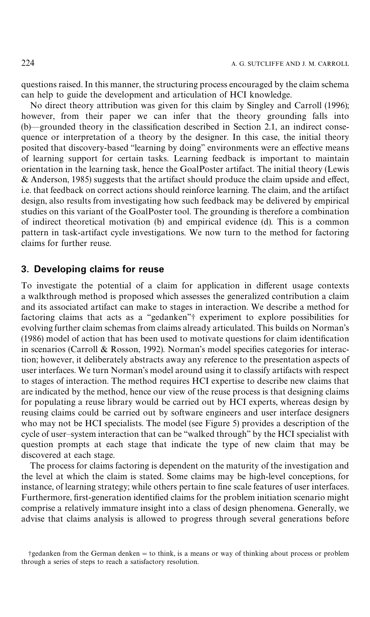<span id="page-11-0"></span>questions raised. In this manner, the structuring process encouraged by the claim schema can help to guide the development and articulation of HCI knowledge.

No direct theory attribution was given for this claim by [Singley and Carroll \(1996\);](#page-27-0) however, from their paper we can infer that the theory grounding falls into (b)—grounded theory in the classification described in Section 2.1, an indirect consequence or interpretation of a theory by the designer. In this case, the initial theory posited that discovery-based ''learning by doing'' environments were an effective means of learning support for certain tasks. Learning feedback is important to maintain orientation in the learning task, hence the GoalPoster artifact. The initial theory [\(Lewis](#page-26-0) [& Anderson, 1985\)](#page-26-0) suggests that the artifact should produce the claim upside and effect, i.e. that feedback on correct actions should reinforce learning. The claim, and the artifact design, also results from investigating how such feedback may be delivered by empirical studies on this variant of the GoalPoster tool. The grounding is therefore a combination of indirect theoretical motivation (b) and empirical evidence (d). This is a common pattern in task-artifact cycle investigations. We now turn to the method for factoring claims for further reuse.

# **3. Developing claims for reuse**

To investigate the potential of a claim for application in different usage contexts a walkthrough method is proposed which assesses the generalized contribution a claim and its associated artifact can make to stages in interaction. We describe a method for factoring claims that acts as a "gedanken"<sup>+</sup> experiment to explore possibilities for evolving further claim schemas from claims already articulated. This builds on [Norman's](#page-27-0) [\(1986\)](#page-27-0) model of action that has been used to motivate questions for claim identification in scenarios [\(Carroll & Rosson, 1992\).](#page-26-0) Norman's model specifies categories for interaction; however, it deliberately abstracts away any reference to the presentation aspects of user interfaces. We turn Norman's model around using it to classify artifacts with respect to stages of interaction. The method requires HCI expertise to describe new claims that are indicated by the method, hence our view of the reuse process is that designing claims for populating a reuse library would be carried out by HCI experts, whereas design by reusing claims could be carried out by software engineers and user interface designers who may not be HCI specialists. The model (see [Figure 5\)](#page-12-0) provides a description of the cycle of user*—*system interaction that can be ''walked through'' by the HCI specialist with question prompts at each stage that indicate the type of new claim that may be discovered at each stage.

The process for claims factoring is dependent on the maturity of the investigation and the level at which the claim is stated. Some claims may be high-level conceptions, for instance, of learning strategy; while others pertain to fine scale features of user interfaces. Furthermore, first-generation identified claims for the problem initiation scenario might comprise a relatively immature insight into a class of design phenomena. Generally, we advise that claims analysis is allowed to progress through several generations before

 $\ddagger$ gedanken from the German denken  $=$  to think, is a means or way of thinking about process or problem through a series of steps to reach a satisfactory resolution.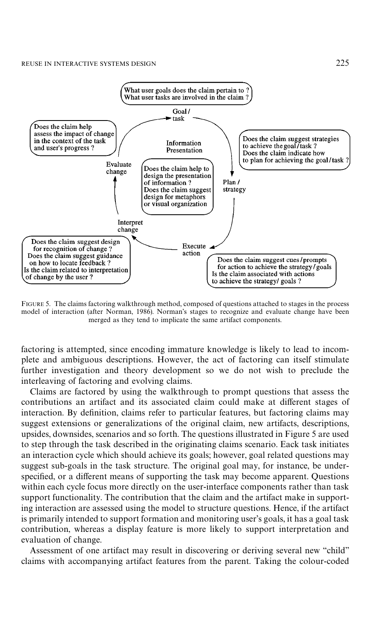<span id="page-12-0"></span>

FIGURE 5. The claims factoring walkthrough method, composed of questions attached to stages in the process model of interaction (after [Norman, 1986\).](#page-27-0) Norman's stages to recognize and evaluate change have been merged as they tend to implicate the same artifact components.

factoring is attempted, since encoding immature knowledge is likely to lead to incomplete and ambiguous descriptions. However, the act of factoring can itself stimulate further investigation and theory development so we do not wish to preclude the interleaving of factoring and evolving claims.

Claims are factored by using the walkthrough to prompt questions that assess the contributions an artifact and its associated claim could make at different stages of interaction. By definition, claims refer to particular features, but factoring claims may suggest extensions or generalizations of the original claim, new artifacts, descriptions, upsides, downsides, scenarios and so forth. The questions illustrated in Figure 5 are used to step through the task described in the originating claims scenario. Eack task initiates an interaction cycle which should achieve its goals; however, goal related questions may suggest sub-goals in the task structure. The original goal may, for instance, be underspecified, or a different means of supporting the task may become apparent. Questions within each cycle focus more directly on the user-interface components rather than task support functionality. The contribution that the claim and the artifact make in supporting interaction are assessed using the model to structure questions. Hence, if the artifact is primarily intended to support formation and monitoring user's goals, it has a goal task contribution, whereas a display feature is more likely to support interpretation and evaluation of change.

Assessment of one artifact may result in discovering or deriving several new ''child'' claims with accompanying artifact features from the parent. Taking the colour-coded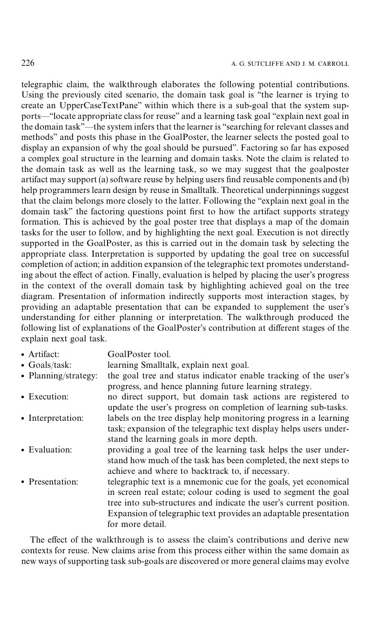telegraphic claim, the walkthrough elaborates the following potential contributions. Using the previously cited scenario, the domain task goal is ''the learner is trying to create an UpperCaseTextPane'' within which there is a sub-goal that the system supports—''locate appropriate class for reuse'' and a learning task goal ''explain next goal in the domain task''—the system infers that the learner is ''searching for relevant classes and methods'' and posts this phase in the GoalPoster, the learner selects the posted goal to display an expansion of why the goal should be pursued''. Factoring so far has exposed a complex goal structure in the learning and domain tasks. Note the claim is related to the domain task as well as the learning task, so we may suggest that the goalposter artifact may support (a) software reuse by helping users find reusable components and (b) help programmers learn design by reuse in Smalltalk. Theoretical underpinnings suggest that the claim belongs more closely to the latter. Following the ''explain next goal in the domain task'' the factoring questions point first to how the artifact supports strategy formation. This is achieved by the goal poster tree that displays a map of the domain tasks for the user to follow, and by highlighting the next goal. Execution is not directly supported in the GoalPoster, as this is carried out in the domain task by selecting the appropriate class. Interpretation is supported by updating the goal tree on successful completion of action; in addition expansion of the telegraphic text promotes understanding about the effect of action. Finally, evaluation is helped by placing the user's progress in the context of the overall domain task by highlighting achieved goal on the tree diagram. Presentation of information indirectly supports most interaction stages, by providing an adaptable presentation that can be expanded to supplement the user's understanding for either planning or interpretation. The walkthrough produced the following list of explanations of the GoalPoster's contribution at different stages of the explain next goal task.

• Artifact: GoalPoster tool.

• Goals/task: learning Smalltalk, explain next goal.

- Planning/strategy: the goal tree and status indicator enable tracking of the user's progress, and hence planning future learning strategy.
- Execution: no direct support, but domain task actions are registered to update the user's progress on completion of learning sub-tasks. • Interpretation: labels on the tree display help monitoring progress in a learning task; expansion of the telegraphic text display helps users understand the learning goals in more depth.
- Evaluation: providing a goal tree of the learning task helps the user understand how much of the task has been completed, the next steps to achieve and where to backtrack to, if necessary.
- Presentation: telegraphic text is a mnemonic cue for the goals, yet economical in screen real estate; colour coding is used to segment the goal tree into sub-structures and indicate the user's current position. Expansion of telegraphic text provides an adaptable presentation for more detail.

The effect of the walkthrough is to assess the claim's contributions and derive new contexts for reuse. New claims arise from this process either within the same domain as new ways of supporting task sub-goals are discovered or more general claims may evolve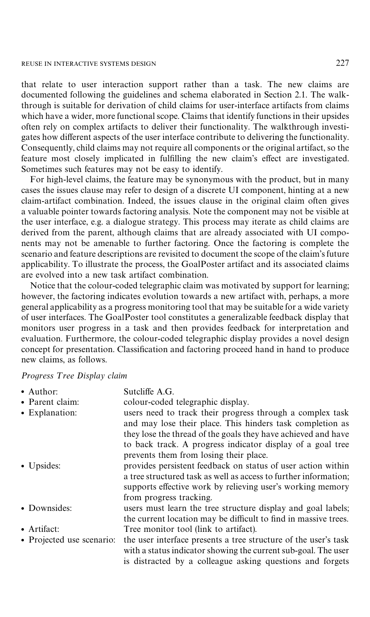#### REUSE IN INTERACTIVE SYSTEMS DESIGN 227

that relate to user interaction support rather than a task. The new claims are documented following the guidelines and schema elaborated in Section 2.1. The walkthrough is suitable for derivation of child claims for user-interface artifacts from claims which have a wider, more functional scope. Claims that identify functions in their upsides often rely on complex artifacts to deliver their functionality. The walkthrough investigates how different aspects of the user interface contribute to delivering the functionality. Consequently, child claims may not require all components or the original artifact, so the feature most closely implicated in fulfilling the new claim's effect are investigated. Sometimes such features may not be easy to identify.

For high-level claims, the feature may be synonymous with the product, but in many cases the issues clause may refer to design of a discrete UI component, hinting at a new claim-artifact combination. Indeed, the issues clause in the original claim often gives a valuable pointer towards factoring analysis. Note the component may not be visible at the user interface, e.g. a dialogue strategy. This process may iterate as child claims are derived from the parent, although claims that are already associated with UI components may not be amenable to further factoring. Once the factoring is complete the scenario and feature descriptions are revisited to document the scope of the claim's future applicability. To illustrate the process, the GoalPoster artifact and its associated claims are evolved into a new task artifact combination.

Notice that the colour-coded telegraphic claim was motivated by support for learning; however, the factoring indicates evolution towards a new artifact with, perhaps, a more general applicability as a progress monitoring tool that may be suitable for a wide variety of user interfaces. The GoalPoster tool constitutes a generalizable feedback display that monitors user progress in a task and then provides feedback for interpretation and evaluation. Furthermore, the colour-coded telegraphic display provides a novel design concept for presentation. Classification and factoring proceed hand in hand to produce new claims, as follows.

*Progress Tree Display claim* 

| $\bullet$ Author:         | Sutcliffe A.G.                                                                                                                                                                                 |
|---------------------------|------------------------------------------------------------------------------------------------------------------------------------------------------------------------------------------------|
| • Parent claim:           | colour-coded telegraphic display.                                                                                                                                                              |
| • Explanation:            | users need to track their progress through a complex task<br>and may lose their place. This hinders task completion as                                                                         |
|                           | they lose the thread of the goals they have achieved and have                                                                                                                                  |
|                           | to back track. A progress indicator display of a goal tree<br>prevents them from losing their place.                                                                                           |
| • Upsides:                | provides persistent feedback on status of user action within<br>a tree structured task as well as access to further information;                                                               |
|                           | supports effective work by relieving user's working memory<br>from progress tracking.                                                                                                          |
| • Downsides:              | users must learn the tree structure display and goal labels;                                                                                                                                   |
|                           | the current location may be difficult to find in massive trees.                                                                                                                                |
| $\bullet$ Artifact:       | Tree monitor tool (link to artifact).                                                                                                                                                          |
| • Projected use scenario: | the user interface presents a tree structure of the user's task<br>with a status indicator showing the current sub-goal. The user<br>is distracted by a colleague asking questions and forgets |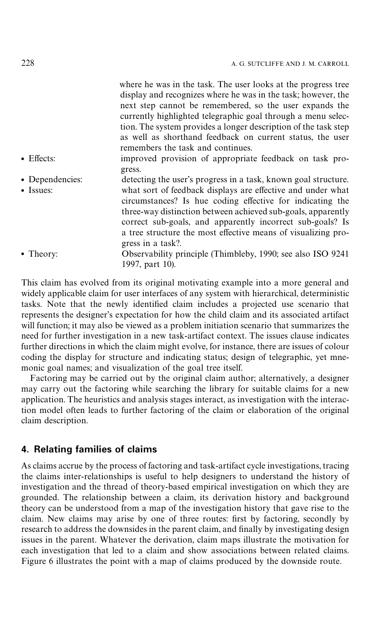<span id="page-15-0"></span>

|                              | where he was in the task. The user looks at the progress tree<br>display and recognizes where he was in the task; however, the<br>next step cannot be remembered, so the user expands the<br>currently highlighted telegraphic goal through a menu selec-<br>tion. The system provides a longer description of the task step<br>as well as shorthand feedback on current status, the user<br>remembers the task and continues. |
|------------------------------|--------------------------------------------------------------------------------------------------------------------------------------------------------------------------------------------------------------------------------------------------------------------------------------------------------------------------------------------------------------------------------------------------------------------------------|
| $\bullet$ Effects:           | improved provision of appropriate feedback on task pro-<br>gress.                                                                                                                                                                                                                                                                                                                                                              |
| • Dependencies:<br>• Issues: | detecting the user's progress in a task, known goal structure.<br>what sort of feedback displays are effective and under what<br>circumstances? Is hue coding effective for indicating the<br>three-way distinction between achieved sub-goals, apparently<br>correct sub-goals, and apparently incorrect sub-goals? Is<br>a tree structure the most effective means of visualizing pro-<br>gress in a task?.                  |
| • Theory:                    | Observability principle (Thimbleby, 1990; see also ISO 9241)<br>1997, part 10).                                                                                                                                                                                                                                                                                                                                                |

This claim has evolved from its original motivating example into a more general and widely applicable claim for user interfaces of any system with hierarchical, deterministic tasks. Note that the newly identified claim includes a projected use scenario that represents the designer's expectation for how the child claim and its associated artifact will function; it may also be viewed as a problem initiation scenario that summarizes the need for further investigation in a new task-artifact context. The issues clause indicates further directions in which the claim might evolve, for instance, there are issues of colour coding the display for structure and indicating status; design of telegraphic, yet mnemonic goal names; and visualization of the goal tree itself.

Factoring may be carried out by the original claim author; alternatively, a designer may carry out the factoring while searching the library for suitable claims for a new application. The heuristics and analysis stages interact, as investigation with the interaction model often leads to further factoring of the claim or elaboration of the original claim description.

# **4. Relating families of claims**

As claims accrue by the process of factoring and task-artifact cycle investigations, tracing the claims inter-relationships is useful to help designers to understand the history of investigation and the thread of theory-based empirical investigation on which they are grounded. The relationship between a claim, its derivation history and background theory can be understood from a map of the investigation history that gave rise to the claim. New claims may arise by one of three routes: first by factoring, secondly by research to address the downsides in the parent claim, and finally by investigating design issues in the parent. Whatever the derivation, claim maps illustrate the motivation for each investigation that led to a claim and show associations between related claims. [Figure 6](#page-16-0) illustrates the point with a map of claims produced by the downside route.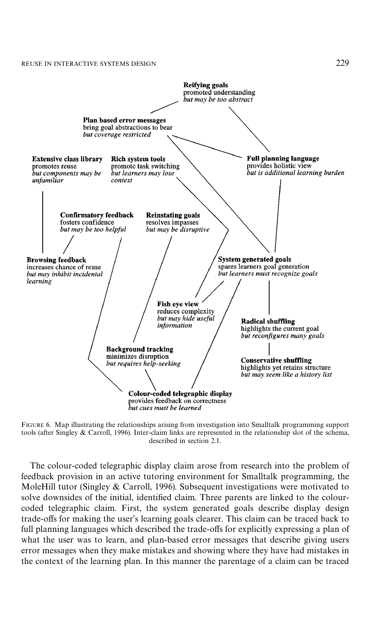#### <span id="page-16-0"></span>REUSE IN INTERACTIVE SYSTEMS DESIGN 229



FIGURE 6. Map illustrating the relationships arising from investigation into Smalltalk programming support tools (afte[r Singley & Carroll, 1996\).](#page-27-0) Inter-claim links are represented in the relationship slot of the schema, described in section 2.1.

The colour-coded telegraphic display claim arose from research into the problem of feedback provision in an active tutoring environment for Smalltalk programming, the MoleHill tutor [\(Singley & Carroll, 1996\).](#page-27-0) Subsequent investigations were motivated to solve downsides of the initial, identified claim. Three parents are linked to the colourcoded telegraphic claim. First, the system generated goals describe display design trade-offs for making the user's learning goals clearer. This claim can be traced back to full planning languages which described the trade-offs for explicitly expressing a plan of what the user was to learn, and plan-based error messages that describe giving users error messages when they make mistakes and showing where they have had mistakes in the context of the learning plan. In this manner the parentage of a claim can be traced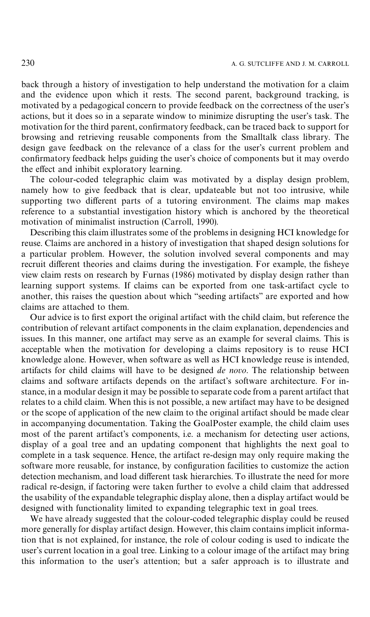back through a history of investigation to help understand the motivation for a claim and the evidence upon which it rests. The second parent, background tracking, is motivated by a pedagogical concern to provide feedback on the correctness of the user's actions, but it does so in a separate window to minimize disrupting the user's task. The motivation for the third parent, confirmatory feedback, can be traced back to support for browsing and retrieving reusable components from the Smalltalk class library. The design gave feedback on the relevance of a class for the user's current problem and confirmatory feedback helps guiding the user's choice of components but it may overdo the effect and inhibit exploratory learning.

The colour-coded telegraphic claim was motivated by a display design problem, namely how to give feedback that is clear, updateable but not too intrusive, while supporting two different parts of a tutoring environment. The claims map makes reference to a substantial investigation history which is anchored by the theoretical motivation of minimalist instruction [\(Carroll, 1990\).](#page-25-0)

Describing this claim illustrates some of the problems in designing HCI knowledge for reuse. Claims are anchored in a history of investigation that shaped design solutions for a particular problem. However, the solution involved several components and may recruit different theories and claims during the investigation. For example, the fisheye view claim rests on research by [Furnas \(1986\)](#page-26-0) motivated by display design rather than learning support systems. If claims can be exported from one task-artifact cycle to another, this raises the question about which ''seeding artifacts'' are exported and how claims are attached to them.

Our advice is to first export the original artifact with the child claim, but reference the contribution of relevant artifact components in the claim explanation, dependencies and issues. In this manner, one artifact may serve as an example for several claims. This is acceptable when the motivation for developing a claims repository is to reuse HCI knowledge alone. However, when software as well as HCI knowledge reuse is intended, artifacts for child claims will have to be designed *de novo*. The relationship between claims and software artifacts depends on the artifact's software architecture. For instance, in a modular design it may be possible to separate code from a parent artifact that relates to a child claim. When this is not possible, a new artifact may have to be designed or the scope of application of the new claim to the original artifact should be made clear in accompanying documentation. Taking the GoalPoster example, the child claim uses most of the parent artifact's components, i.e. a mechanism for detecting user actions, display of a goal tree and an updating component that highlights the next goal to complete in a task sequence. Hence, the artifact re-design may only require making the software more reusable, for instance, by configuration facilities to customize the action detection mechanism, and load different task hierarchies. To illustrate the need for more radical re-design, if factoring were taken further to evolve a child claim that addressed the usability of the expandable telegraphic display alone, then a display artifact would be designed with functionality limited to expanding telegraphic text in goal trees.

We have already suggested that the colour-coded telegraphic display could be reused more generally for display artifact design. However, this claim contains implicit information that is not explained, for instance, the role of colour coding is used to indicate the user's current location in a goal tree. Linking to a colour image of the artifact may bring this information to the user's attention; but a safer approach is to illustrate and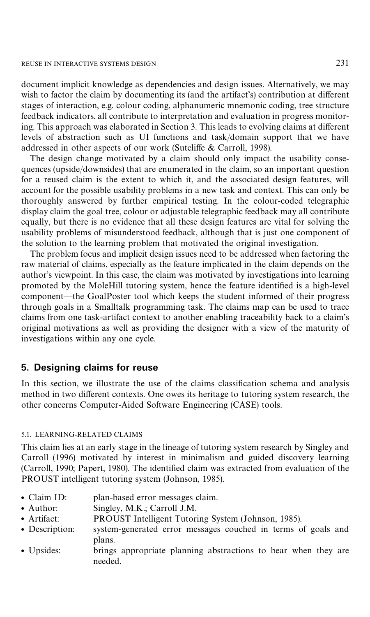### REUSE IN INTERACTIVE SYSTEMS DESIGN 231

document implicit knowledge as dependencies and design issues. Alternatively, we may wish to factor the claim by documenting its (and the artifact's) contribution at different stages of interaction, e.g. colour coding, alphanumeric mnemonic coding, tree structure feedback indicators, all contribute to interpretation and evaluation in progress monitoring. This approach was elaborated in [Section 3.](#page-11-0) This leads to evolving claims at different levels of abstraction such as UI functions and task/domain support that we have addressed in other aspects of our work [\(Sutcliffe & Carroll, 1998\).](#page-28-0)

The design change motivated by a claim should only impact the usability consequences (upside/downsides) that are enumerated in the claim, so an important question for a reused claim is the extent to which it, and the associated design features, will account for the possible usability problems in a new task and context. This can only be thoroughly answered by further empirical testing. In the colour-coded telegraphic display claim the goal tree, colour or adjustable telegraphic feedback may all contribute equally, but there is no evidence that all these design features are vital for solving the usability problems of misunderstood feedback, although that is just one component of the solution to the learning problem that motivated the original investigation.

The problem focus and implicit design issues need to be addressed when factoring the raw material of claims, especially as the feature implicated in the claim depends on the author's viewpoint. In this case, the claim was motivated by investigations into learning promoted by the MoleHill tutoring system, hence the feature identified is a high-level component—the GoalPoster tool which keeps the student informed of their progress through goals in a Smalltalk programming task. The claims map can be used to trace claims from one task-artifact context to another enabling traceability back to a claim's original motivations as well as providing the designer with a view of the maturity of investigations within any one cycle.

# **5. Designing claims for reuse**

In this section, we illustrate the use of the claims classification schema and analysis method in two different contexts. One owes its heritage to tutoring system research, the other concerns Computer-Aided Software Engineering (CASE) tools.

### 5.1. LEARNING-RELATED CLAIMS

This claim lies at an early stage in the lineage of tutoring system research by [Singley and](#page-27-0) [Carroll \(1996\)](#page-27-0) motivated by interest in minimalism and guided discovery learning [\(Carroll, 1990;](#page-25-0) [Papert, 1980\).](#page-27-0) The identified claim was extracted from evaluation of the PROUST intelligent tutoring system [\(Johnson, 1985\)](#page-26-0).

- Claim ID: plan-based error messages claim.
- Author: Singley, M.K.; Carroll J.M.
- Artifact: PROUST Intelligent Tutoring System [\(Johnson, 1985\).](#page-26-0)
- Description: system-generated error messages couched in terms of goals and plans.
- Upsides: brings appropriate planning abstractions to bear when they are needed.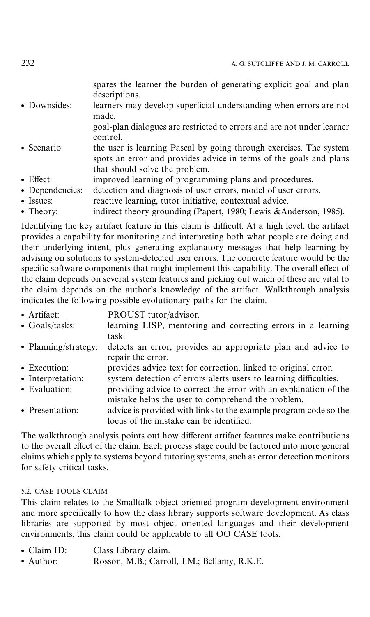|                   | spares the learner the burden of generating explicit goal and plan<br>descriptions.                                                                                        |
|-------------------|----------------------------------------------------------------------------------------------------------------------------------------------------------------------------|
| • Downsides:      | learners may develop superficial understanding when errors are not<br>made.                                                                                                |
|                   | goal-plan dialogues are restricted to errors and are not under learner<br>control.                                                                                         |
| • Scenario:       | the user is learning Pascal by going through exercises. The system<br>spots an error and provides advice in terms of the goals and plans<br>that should solve the problem. |
| $\bullet$ Effect: | improved learning of programming plans and procedures.                                                                                                                     |
| • Dependencies:   | detection and diagnosis of user errors, model of user errors.                                                                                                              |
| $\bullet$ Issues: | reactive learning, tutor initiative, contextual advice.                                                                                                                    |

• Theory: indirect theory grounding [\(Papert, 1980;](#page-27-0) [Lewis &Anderson, 1985\).](#page-26-0)

Identifying the key artifact feature in this claim is difficult. At a high level, the artifact provides a capability for monitoring and interpreting both what people are doing and their underlying intent, plus generating explanatory messages that help learning by advising on solutions to system-detected user errors. The concrete feature would be the specific software components that might implement this capability. The overall effect of the claim depends on several system features and picking out which of these are vital to the claim depends on the author's knowledge of the artifact. Walkthrough analysis indicates the following possible evolutionary paths for the claim.

| • Artifact:          | PROUST tutor/advisor.                                                             |
|----------------------|-----------------------------------------------------------------------------------|
| • Goals/tasks:       | learning LISP, mentoring and correcting errors in a learning                      |
|                      | task.                                                                             |
| • Planning/strategy: | detects an error, provides an appropriate plan and advice to<br>repair the error. |
| • Execution:         | provides advice text for correction, linked to original error.                    |
| • Interpretation:    | system detection of errors alerts users to learning difficulties.                 |
| • Evaluation:        | providing advice to correct the error with an explanation of the                  |
|                      | mistake helps the user to comprehend the problem.                                 |
| • Presentation:      | advice is provided with links to the example program code so the                  |
|                      | locus of the mistake can be identified.                                           |
|                      |                                                                                   |

The walkthrough analysis points out how different artifact features make contributions to the overall effect of the claim. Each process stage could be factored into more general claims which apply to systems beyond tutoring systems, such as error detection monitors for safety critical tasks.

### 5.2. CASE TOOLS CLAIM

This claim relates to the Smalltalk object-oriented program development environment and more specifically to how the class library supports software development. As class libraries are supported by most object oriented languages and their development environments, this claim could be applicable to all OO CASE tools.

- Claim ID: Class Library claim.
- Author: Rosson, M.B.; Carroll, J.M.; Bellamy, R.K.E.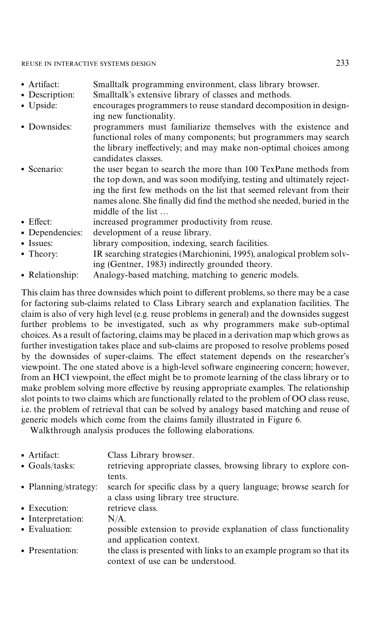### REUSE IN INTERACTIVE SYSTEMS DESIGN 233

- Artifact: Smalltalk programming environment, class library browser.
- Description: Smalltalk's extensive library of classes and methods.
- Upside: encourages programmers to reuse standard decomposition in designing new functionality.
- Downsides: programmers must familiarize themselves with the existence and functional roles of many components; but programmers may search the library ineffectively; and may make non-optimal choices among candidates classes.
- Scenario: the user began to search the more than 100 TexPane methods from the top down, and was soon modifying, testing and ultimately rejecting the first few methods on the list that seemed relevant from their names alone. She finally did find the method she needed, buried in the middle of the list $\ldots$
- Effect: increased programmer productivity from reuse.
- Dependencies: development of a reuse library.
- Issues: library composition, indexing, search facilities.
- Theory: IR searching strategies [\(Marchionini, 1995\),](#page-27-0) analogical problem solving [\(Gentner, 1983\)](#page-26-0) indirectly grounded theory.
- Relationship: Analogy-based matching, matching to generic models.

This claim has three downsides which point to different problems, so there may be a case for factoring sub-claims related to Class Library search and explanation facilities. The claim is also of very high level (e.g. reuse problems in general) and the downsides suggest further problems to be investigated, such as why programmers make sub-optimal choices. As a result of factoring, claims may be placed in a derivation map which grows as further investigation takes place and sub-claims are proposed to resolve problems posed by the downsides of super-claims. The effect statement depends on the researcher's viewpoint. The one stated above is a high-level software engineering concern; however, from an HCI viewpoint, the effect might be to promote learning of the class library or to make problem solving more effective by reusing appropriate examples. The relationship slot points to two claims which are functionally related to the problem of OO class reuse, i.e. the problem of retrieval that can be solved by analogy based matching and reuse of generic models which come from the claims family illustrated in [Figure 6.](#page-16-0)

Walkthrough analysis produces the following elaborations.

| $\bullet$ Artifact:    | Class Library browser.                                              |
|------------------------|---------------------------------------------------------------------|
| $\bullet$ Goals/tasks: | retrieving appropriate classes, browsing library to explore con-    |
|                        | tents.                                                              |
| • Planning/strategy:   | search for specific class by a query language; browse search for    |
|                        | a class using library tree structure.                               |
| • Execution:           | retrieve class.                                                     |
| • Interpretation:      | $N/A$ .                                                             |
| • Evaluation:          | possible extension to provide explanation of class functionality    |
|                        | and application context.                                            |
| • Presentation:        | the class is presented with links to an example program so that its |
|                        | context of use can be understood.                                   |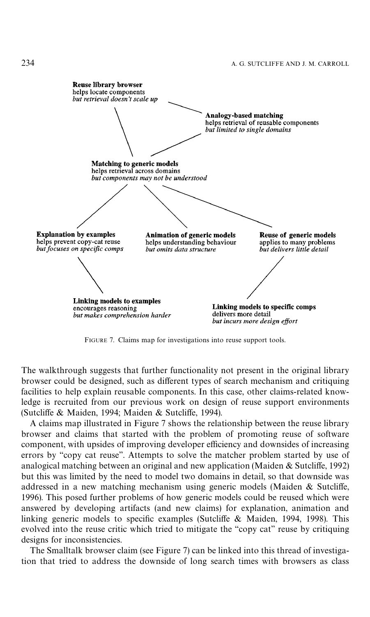

FIGURE 7. Claims map for investigations into reuse support tools.

The walkthrough suggests that further functionality not present in the original library browser could be designed, such as different types of search mechanism and critiquing facilities to help explain reusable components. In this case, other claims-related knowledge is recruited from our previous work on design of reuse support environments [\(Sutcliffe & Maiden, 1994;](#page-28-0) [Maiden & Sutcliffe, 1994\).](#page-27-0)

A claims map illustrated in Figure 7 shows the relationship between the reuse library browser and claims that started with the problem of promoting reuse of software component, with upsides of improving developer efficiency and downsides of increasing errors by ''copy cat reuse''. Attempts to solve the matcher problem started by use of analogical matching between an original and new application (Maiden  $\&$  Sutcliffe, 1992) but this was limited by the need to model two domains in detail, so that downside was addressed in a new matching mechanism using generic models [\(Maiden & Sutcliffe,](#page-27-0) [1996\).](#page-27-0) This posed further problems of how generic models could be reused which were answered by developing artifacts (and new claims) for explanation, animation and linking generic models to specific examples [\(Sutcliffe & Maiden, 1994, 1998\).](#page-28-0) This evolved into the reuse critic which tried to mitigate the ''copy cat'' reuse by critiquing designs for inconsistencies.

The Smalltalk browser claim (see Figure 7) can be linked into this thread of investigation that tried to address the downside of long search times with browsers as class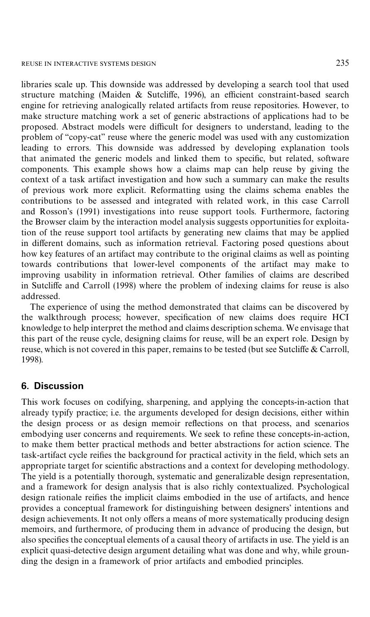libraries scale up. This downside was addressed by developing a search tool that used structure matching [\(Maiden & Sutcliffe, 1996\)](#page-27-0), an efficient constraint-based search engine for retrieving analogically related artifacts from reuse repositories. However, to make structure matching work a set of generic abstractions of applications had to be proposed. Abstract models were difficult for designers to understand, leading to the problem of ''copy-cat'' reuse where the generic model was used with any customization leading to errors. This downside was addressed by developing explanation tools that animated the generic models and linked them to specific, but related, software components. This example shows how a claims map can help reuse by giving the context of a task artifact investigation and how such a summary can make the results of previous work more explicit. Reformatting using the claims schema enables the contributions to be assessed and integrated with related work, in this case [Carroll](#page-26-0) [and Rosson's \(1991\)](#page-26-0) investigations into reuse support tools. Furthermore, factoring the Browser claim by the interaction model analysis suggests opportunities for exploitation of the reuse support tool artifacts by generating new claims that may be applied in different domains, such as information retrieval. Factoring posed questions about how key features of an artifact may contribute to the original claims as well as pointing towards contributions that lower-level components of the artifact may make to improving usability in information retrieval. Other families of claims are described in [Sutcliffe and Carroll \(1998\)](#page-28-0) where the problem of indexing claims for reuse is also addressed.

The experience of using the method demonstrated that claims can be discovered by the walkthrough process; however, specification of new claims does require HCI knowledge to help interpret the method and claims description schema. We envisage that this part of the reuse cycle, designing claims for reuse, will be an expert role. Design by reuse, which is not covered in this paper, remains to be tested (but see [Sutcliffe & Carroll,](#page-28-0) [1998\).](#page-28-0)

# **6. Discussion**

This work focuses on codifying, sharpening, and applying the concepts-in-action that already typify practice; i.e. the arguments developed for design decisions, either within the design process or as design memoir reflections on that process, and scenarios embodying user concerns and requirements. We seek to refine these concepts-in-action, to make them better practical methods and better abstractions for action science. The task-artifact cycle reifies the background for practical activity in the field, which sets an appropriate target for scientific abstractions and a context for developing methodology. The yield is a potentially thorough, systematic and generalizable design representation, and a framework for design analysis that is also richly contextualized. Psychological design rationale reifies the implicit claims embodied in the use of artifacts, and hence provides a conceptual framework for distinguishing between designers' intentions and design achievements. It not only offers a means of more systematically producing design memoirs, and furthermore, of producing them in advance of producing the design, but also specifies the conceptual elements of a causal theory of artifacts in use. The yield is an explicit quasi-detective design argument detailing what was done and why, while grounding the design in a framework of prior artifacts and embodied principles.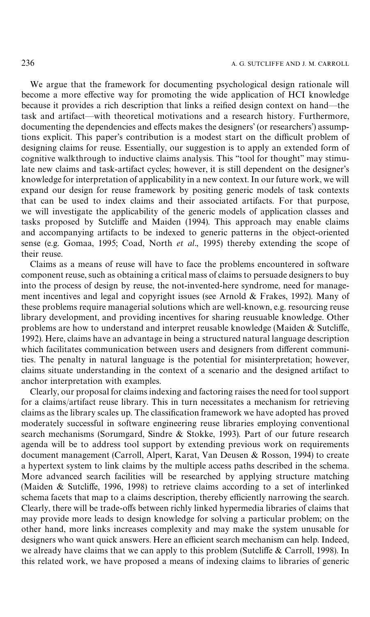We argue that the framework for documenting psychological design rationale will become a more effective way for promoting the wide application of HCI knowledge because it provides a rich description that links a reified design context on hand—the task and artifact—with theoretical motivations and a research history. Furthermore, documenting the dependencies and effects makes the designers' (or researchers') assumptions explicit. This paper's contribution is a modest start on the difficult problem of designing claims for reuse. Essentially, our suggestion is to apply an extended form of cognitive walkthrough to inductive claims analysis. This ''tool for thought'' may stimulate new claims and task-artifact cycles; however, it is still dependent on the designer's knowledge for interpretation of applicability in a new context. In our future work, we will expand our design for reuse framework by positing generic models of task contexts that can be used to index claims and their associated artifacts. For that purpose, we will investigate the applicability of the generic models of application classes and tasks proposed by [Sutcliffe and Maiden \(1994\).](#page-28-0) This approach may enable claims and accompanying artifacts to be indexed to generic patterns in the object-oriented sense (e.g. [Gomaa, 1995; Coad, North](#page-26-0) *et al*., 1995) thereby extending the scope of their reuse.

Claims as a means of reuse will have to face the problems encountered in software component reuse, such as obtaining a critical mass of claims to persuade designers to buy into the process of design by reuse, the not-invented-here syndrome, need for management incentives and legal and copyright issues (see [Arnold & Frakes, 1992\).](#page-25-0) Many of these problems require managerial solutions which are well-known, e.g. resourcing reuse library development, and providing incentives for sharing reusuable knowledge. Other problems are how to understand and interpret reusable knowledge [\(Maiden & Sutcliffe,](#page-27-0) [1992\).](#page-27-0) Here, claims have an advantage in being a structured natural language description which facilitates communication between users and designers from different communities. The penalty in natural language is the potential for misinterpretation; however, claims situate understanding in the context of a scenario and the designed artifact to anchor interpretation with examples.

Clearly, our proposal for claims indexing and factoring raises the need for tool support for a claims/artifact reuse library. This in turn necessitates a mechanism for retrieving claims as the library scales up. The classification framework we have adopted has proved moderately successful in software engineering reuse libraries employing conventional search mechanisms [\(Sorumgard, Sindre & Stokke, 1993\)](#page-28-0). Part of our future research agenda will be to address tool support by extending previous work on requirements document management [\(Carroll, Alpert, Karat, Van Deusen & Rosson, 1994\)](#page-25-0) to create a hypertext system to link claims by the multiple access paths described in the schema. More advanced search facilities will be researched by applying structure matching [\(Maiden & Sutcliffe, 1996,](#page-27-0) 1998) to retrieve claims according to a set of interlinked schema facets that map to a claims description, thereby efficiently narrowing the search. Clearly, there will be trade-offs between richly linked hypermedia libraries of claims that may provide more leads to design knowledge for solving a particular problem; on the other hand, more links increases complexity and may make the system unusable for designers who want quick answers. Here an efficient search mechanism can help. Indeed, we already have claims that we can apply to this problem (Sutcliffe  $& Carroll, 1998$ ). In this related work, we have proposed a means of indexing claims to libraries of generic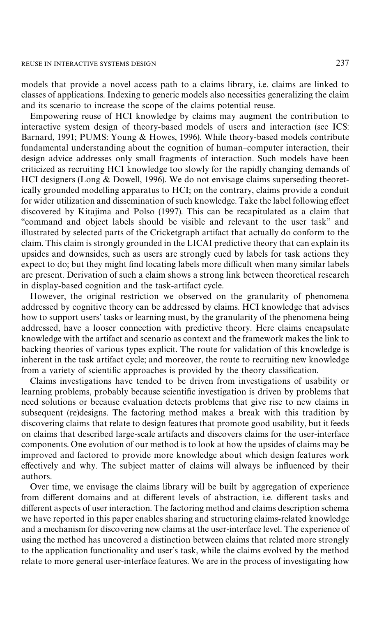models that provide a novel access path to a claims library, i.e. claims are linked to classes of applications. Indexing to generic models also necessities generalizing the claim and its scenario to increase the scope of the claims potential reuse.

Empowering reuse of HCI knowledge by claims may augment the contribution to interactive system design of theory-based models of users and interaction (see ICS: [Barnard, 1991;](#page-25-0) PUMS: [Young & Howes, 1996\).](#page-28-0) While theory-based models contribute fundamental understanding about the cognition of human*—*computer interaction, their design advice addresses only small fragments of interaction. Such models have been criticized as recruiting HCI knowledge too slowly for the rapidly changing demands of HCI designers [\(Long & Dowell, 1996\).](#page-26-0) We do not envisage claims superseding theoretically grounded modelling apparatus to HCI; on the contrary, claims provide a conduit for wider utilization and dissemination of such knowledge. Take the label following effect discovered by [Kitajima and Polso \(1997\).](#page-26-0) This can be recapitulated as a claim that ''command and object labels should be visible and relevant to the user task'' and illustrated by selected parts of the Cricketgraph artifact that actually do conform to the claim. This claim is strongly grounded in the LICAI predictive theory that can explain its upsides and downsides, such as users are strongly cued by labels for task actions they expect to do; but they might find locating labels more difficult when many similar labels are present. Derivation of such a claim shows a strong link between theoretical research in display-based cognition and the task-artifact cycle.

However, the original restriction we observed on the granularity of phenomena addressed by cognitive theory can be addressed by claims. HCI knowledge that advises how to support users' tasks or learning must, by the granularity of the phenomena being addressed, have a looser connection with predictive theory. Here claims encapsulate knowledge with the artifact and scenario as context and the framework makes the link to backing theories of various types explicit. The route for validation of this knowledge is inherent in the task artifact cycle; and moreover, the route to recruiting new knowledge from a variety of scientific approaches is provided by the theory classification.

Claims investigations have tended to be driven from investigations of usability or learning problems, probably because scientific investigation is driven by problems that need solutions or because evaluation detects problems that give rise to new claims in subsequent (re)designs. The factoring method makes a break with this tradition by discovering claims that relate to design features that promote good usability, but it feeds on claims that described large-scale artifacts and discovers claims for the user-interface components. One evolution of our method is to look at how the upsides of claims may be improved and factored to provide more knowledge about which design features work effectively and why. The subject matter of claims will always be influenced by their authors.

Over time, we envisage the claims library will be built by aggregation of experience from different domains and at different levels of abstraction, i.e. different tasks and different aspects of user interaction. The factoring method and claims description schema we have reported in this paper enables sharing and structuring claims-related knowledge and a mechanism for discovering new claims at the user-interface level. The experience of using the method has uncovered a distinction between claims that related more strongly to the application functionality and user's task, while the claims evolved by the method relate to more general user-interface features. We are in the process of investigating how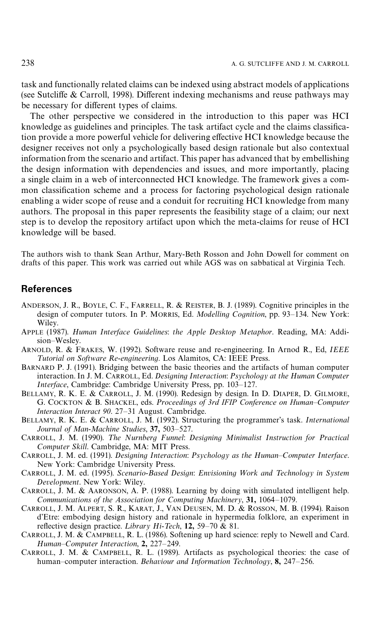<span id="page-25-0"></span>task and functionally related claims can be indexed using abstract models of applications (see [Sutcliffe & Carroll, 1998\).](#page-28-0) Different indexing mechanisms and reuse pathways may be necessary for different types of claims.

The other perspective we considered in the introduction to this paper was HCI knowledge as guidelines and principles. The task artifact cycle and the claims classification provide a more powerful vehicle for delivering effective HCI knowledge because the designer receives not only a psychologically based design rationale but also contextual information from the scenario and artifact. This paper has advanced that by embellishing the design information with dependencies and issues, and more importantly, placing a single claim in a web of interconnected HCI knowledge. The framework gives a common classification scheme and a process for factoring psychological design rationale enabling a wider scope of reuse and a conduit for recruiting HCI knowledge from many authors. The proposal in this paper represents the feasibility stage of a claim; our next step is to develop the repository artifact upon which the meta-claims for reuse of HCI knowledge will be based.

The authors wish to thank Sean Arthur, Mary-Beth Rosson and John Dowell for comment on drafts of this paper. This work was carried out while AGS was on sabbatical at Virginia Tech.

### **References**

- ANDERSON, J. R., BOYLE, C. F., FARRELL, R. & REISTER, B. J. (1989). Cognitive principles in the design of computer tutors. In P. MORRIS, Ed. *Modelling Cognition*, pp. 93*—*134. New York: Wiley.
- APPLE (1987). *Human Interface Guidelines*: *the Apple Desktop Metaphor*. Reading, MA: Addision*—*Wesley.
- ARNOLD, R. & FRAKES, W. (1992). Software reuse and re-engineering. In Arnod R., Ed, *IEEE* ¹*utorial on Software Re*-*engineering*. Los Alamitos, CA: IEEE Press.
- BARNARD P. J. (1991). Bridging between the basic theories and the artifacts of human computer interaction. In J. M. CARROLL, Ed. *Designing Interaction*: *Psychology at the Human Computer Interface*, Cambridge: Cambridge University Press, pp. 103*—*127.
- BELLAMY, R. K. E. & CARROLL, J. M. (1990). Redesign by design. In D. DIAPER, D. GILMORE, G. COCKTON & B. SHACKEL, eds. *Proceedings of 3rd IFIP Conference on Human—Computer Interaction Interact 90*. 27*—*31 August. Cambridge.
- BELLAMY, R. K. E. & CARROLL, J. M. (1992). Structuring the programmer's task. *International Journal of Man*-*Machine Studies*, 37, 503*—*527.
- CARROLL, J. M. (1990). *The Nurnberg Funnel: Designing Minimalist Instruction for Practical Computer Skill*. Cambridge, MA: MIT Press.
- CARROLL, J. M. ed. (1991). *Designing Interaction*: *Psychology as the Human—Computer Interface*. New York: Cambridge University Press.
- CARROLL, J. M. ed. (1995). *Scenario-Based Design: Envisioning Work and Technology in System Development*. New York: Wiley.
- CARROLL, J. M. & AARONSON, A. P. (1988). Learning by doing with simulated intelligent help. *Communications of the Association for Computing Machinery*, 31, 1064*—*1079.
- CARROLL, J. M. ALPERT, S. R., KARAT, J., VAN DEUSEN, M. D. & ROSSON, M. B. (1994). Raison d'Etre: embodying design history and rationale in hypermedia folklore, an experiment in reflective design practice. *Library Hi-Tech*, 12, 59-70 & 81.
- CARROLL, J. M. & CAMPBELL, R. L. (1986). Softening up hard science: reply to Newell and Card. *Human—Computer Interaction*, 2, 227*—*249.
- CARROLL, J. M. & CAMPBELL, R. L. (1989). Artifacts as psychological theories: the case of human–computer interaction. *Behaviour and Information Technology*, **8**, 247–256.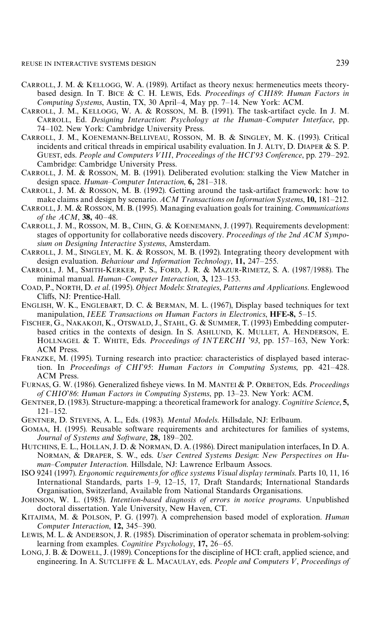- <span id="page-26-0"></span>CARROLL, J. M. & KELLOGG, W. A. (1989). Artifact as theory nexus: hermeneutics meets theorybased design. In T. BICE & C. H. LEWIS, Eds. *Proceedings of CHI89*: *Human Factors in Computing Systems*, Austin, TX, 30 April*—*4, May pp. 7*—*14. New York: ACM.
- CARROLL, J. M., KELLOGG, W. A. & ROSSON, M. B. (1991). The task-artifact cycle. In J. M. CARROLL, Ed. *Designing Interaction*: *Psychology at the Human—Computer Interface*, pp. 74*—*102. New York: Cambridge University Press.
- CARROLL, J. M., KOENEMANN-BELLIVEAU, ROSSON, M. B. & SINGLEY, M. K. (1993). Critical incidents and critical threads in empirical usability evaluation. In J. ALTY, D. DIAPER & S. P. GUEST, eds. *People and Computers* »*III*, *Proceedings of the HCI*'*93 Conference*, pp. 279*—*292. Cambridge: Cambridge University Press.
- CARROLL, J. M. & ROSSON, M. B. (1991). Deliberated evolution: stalking the View Matcher in design space. *Human—Computer Interaction*, 6, 281*—*318.
- CARROLL, J. M. & ROSSON, M. B. (1992). Getting around the task-artifact framework: how to make claims and design by scenario. *ACM Transactions on Information Systems*, **10**, 181–212.
- CARROLL, J. M. & ROSSON, M. B. (1995). Managing evaluation goals for training. *Communications of the ACM*, 38, 40*—*48.
- CARROLL, J. M., ROSSON, M. B., CHIN, G. & KOENEMANN, J. (1997). Requirements development: stages of opportunity for collaborative needs discovery. *Proceedings of the 2nd ACM Symposium on Designing Interactive Systems*, Amsterdam.
- CARROLL, J. M., SINGLEY, M. K. & ROSSON, M. B. (1992). Integrating theory development with design evaluation. *Behaviour and Information Technology*, 11, 247–255.
- CARROLL, J. M., SMITH-KERKER, P. S., FORD, J. R. & MAZUR-RIMETZ, S. A. (1987/1988). The minimal manual. *Human—Computer Interaction*, 3, 123*—*153.
- COAD, P., NORTH, D. *et al*. (1995). *Object Models*: *Strategies*, *Patterns and Applications*. Englewood Cliffs, NJ: Prentice-Hall.
- ENGLISH, W. K., ENGLEBART, D. C. & BERMAN, M. L. (1967), Display based techniques for text manipulation, *IEEE* Transactions on Human Factors in Electronics, **HFE-8**, 5–15.
- FISCHER, G., NAKAKOJI, K., OTSWALD, J., STAHL, G. & SUMMER, T. (1993) Embedding computerbased critics in the contexts of design. In S. ASHLUND, K. MULLET, A. HENDERSON, E. HOLLNAGEL & T. WHITE, Eds. *Proceedings of INTERCHI* '93, pp. 157-163, New York: ACM Press.
- FRANZKE, M. (1995). Turning research into practice: characteristics of displayed based interaction. In *Proceedings of CHI*'*95*: *Human Factors in Computing Systems*, pp. 421*—*428. ACM Press.
- FURNAS, G. W. (1986). Generalized fisheye views. In M. MANTEI & P. ORBETON, Eds. *Proceedings of CHIO*'*86*: *Human Factors in Computing Systems*, pp. 13*—*23. New York: ACM.
- GENTNER, D. (1983). Structure-mapping: a theoretical framework for analogy. *Cognitive Science*, 5, 121*—*152.
- GENTNER, D. STEVENS, A. L., Eds. (1983). *Mental Models*. Hillsdale, NJ: Erlbaum.
- GOMAA, H. (1995). Reusable software requirements and architectures for families of systems, *Journal of Systems and Software*, 28, 189*—*202.
- HUTCHINS, E. L., HOLLAN, J. D. & NORMAN, D. A. (1986). Direct manipulation interfaces, In D. A. NORMAN,&DRAPER, S. W., eds. º*ser Centred Systems Design*: *New Perspectives on Human—Computer Interaction*. Hillsdale, NJ: Lawrence Erlbaum Assocs.
- ISO 9241 (1997). *Ergonomic requirements for office systems* »*isual display terminals*. Parts 10, 11, 16 International Standards, parts 1*—*9, 12*—*15, 17, Draft Standards; International Standards Organisation, Switzerland, Available from National Standards Organisations.
- JOHNSON, W. L. (1985). *Intention*-*based diagnosis of errors in novice programs*. Unpublished doctoral dissertation. Yale University, New Haven, CT.
- KITAJIMA, M. & POLSON, P. G. (1997). A comprehension based model of exploration. *Human Computer Interaction*, 12, 345*—*390.
- LEWIS, M. L. & ANDERSON, J. R. (1985). Discrimination of operator schemata in problem-solving: learning from examples. *Cognitive Psychology*, 17, 26*—*65.
- LONG, J. B. & DOWELL, J. (1989). Conceptions for the discipline of HCI: craft, applied science, and engineering. In A. SUTCLIFFE & L. MACAULAY, eds. *People and Computers* », *Proceedings of*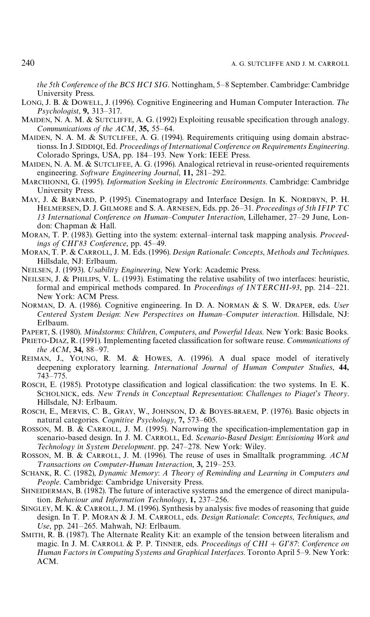<span id="page-27-0"></span>*the 5th Conference of the BCS HCI SIG*. Nottingham, 5*—*8 September. Cambridge: Cambridge University Press.

- LONG, J. B. & DOWELL, J. (1996). Cognitive Engineering and Human Computer Interaction. The *Psychologist*, 9, 313*—*317.
- MAIDEN, N. A. M. & SUTCLIFFE, A. G. (1992) Exploiting reusable specification through analogy. *Communications of the ACM*, 35, 55*—*64.
- MAIDEN, N. A. M. & SUTCLIFEE, A. G. (1994). Requirements critiquing using domain abstractionss. In J. SIDDIQI, Ed. *Proceedings of International Conference on Requirements Engineering*. Colorado Springs, USA, pp. 184*—*193. New York: IEEE Press.
- MAIDEN, N. A. M. & SUTCLIFEE, A. G. (1996). Analogical retrieval in reuse-oriented requirements engineering. *Software Engineering Journal*, 11, 281*—*292.
- MARCHIONNI, G. (1995). *Information Seeking in Electronic Environments*. Cambridge: Cambridge University Press.
- MAY, J. & BARNARD, P. (1995). Cinematograpy and Interface Design. In K. NORDBYN, P. H. HELMERSEN, D. J. GILMORE and S. A. ARNESEN, Eds. pp. 26-31. *Proceedings of 5th IFIP TC 13 International Conference on Human—Computer Interaction*, Lillehamer, 27*—*29 June, London: Chapman & Hall.
- MORAN, T. P. (1983). Getting into the system: external*—*internal task mapping analysis. *Proceedings of CHI*'*83 Conference*, pp. 45*—*49.
- MORAN, T. P. & CARROLL, J. M. Eds. (1996). *Design Rationale: Concepts, Methods and Techniques*. Hillsdale, NJ: Erlbaum.
- NEILSEN, J. (1993). *Usability Engineering*, New York: Academic Press.
- NEILSEN, J. & PHILIPS, V. L. (1993). Estimating the relative usability of two interfaces: heuristic, formal and empirical methods compared. In *Proceedings of INTERCHI-93*, pp. 214–221. New York: ACM Press.
- NORMAN, D. A. (1986). Cognitive engineering. In D. A. NORMAN & S. W. DRAPER, eds. *User Centered System Design*: *New Perspectives on Human—Computer interaction*. Hillsdale, NJ: Erlbaum.
- PAPERT, S. (1980). *Mindstorms*: *Children*, *Computers*, *and Powerful Ideas*. New York: Basic Books.
- PRIETO-DIAZ, R. (1991). Implementing faceted classification for software reuse. *Communications of the ACM*, 34, 88*—*97.
- REIMAN, J., YOUNG, R. M. & HOWES, A. (1996). A dual space model of iteratively deepening exploratory learning. *International Journal of Human Computer Studies*, 44, 743*—*775.
- ROSCH, E. (1985). Prototype classification and logical classification: the two systems. In E. K. SCHOLNICK, eds. *New Trends in Conceptual Representation: Challenges to Piaget's Theory.* Hillsdale, NJ: Erlbaum.
- ROSCH, E., MERVIS, C. B., GRAY, W., JOHNSON, D. & BOYES-BRAEM, P. (1976). Basic objects in natural categories. *Cognitive Psychology*, 7, 573*—*605.
- ROSSON, M. B. & CARROLL, J. M. (1995). Narrowing the specification-implementation gap in scenario-based design. In J. M. CARROLL, Ed. *Scenario*-*Based Design*: *Envisioning* ¼*ork and* Technology in System Development. pp. 247-278. New York: Wiley.
- ROSSON, M. B. & CARROLL, J. M. (1996). The reuse of uses in Smalltalk programming. *ACM* ¹*ransactions on Computer*-*Human Interaction*, 3, 219*—*253.
- SCHANK, R. C. (1982), *Dynamic Memory: A Theory of Reminding and Learning in Computers and People*. Cambridge: Cambridge University Press.
- SHNEIDERMAN, B. (1982). The future of interactive systems and the emergence of direct manipulation. *Behaviour and Information Technology*, 1, 237–256.
- SINGLEY, M. K. & CARROLL, J. M. (1996). Synthesis by analysis: five modes of reasoning that guide design. In T. P. MORAN & J. M. CARROLL, eds. *Design Rationale: Concepts, Techniques, and* º*se*, pp. 241*—*265. Mahwah, NJ: Erlbaum.
- SMITH, R. B. (1987). The Alternate Reality Kit: an example of the tension between literalism and magic. In J. M. CARROLL & P. P. TINNER, eds. *Proceedings of CHI*#*GI*'*87*: *Conference on Human Factors in Computing Systems and Graphical Interfaces*. Toronto April 5*—*9. New York: ACM.